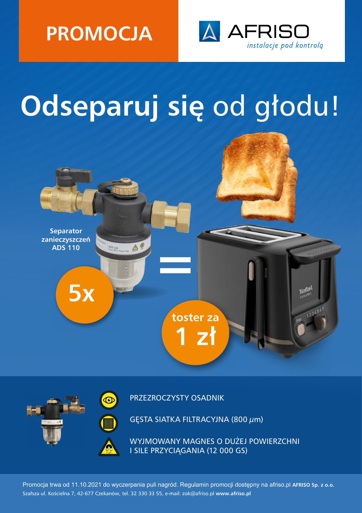



## **Odseparuj się** od głodu!





PRZEZROCZYSTY OSADNIK

GĘSTA SIATKA FILTRACYJNA (800 μm)

WYJMOWANY MAGNES O DUŻEJ POWIERZCHNI I SILE PRZYCIĄGANIA (12 000 GS)

Promocja trwa od 11.10.2021 do wyczerpania puli nagród. Regulamin promocji dostępny na afriso.pl **AFRISO Sp. z o.o.** Szałsza ul. Kościelna 7, 42-677 Czekanów, tel. 32 330 33 55, e-mail: zok@afriso.pl **www.afriso.pl**